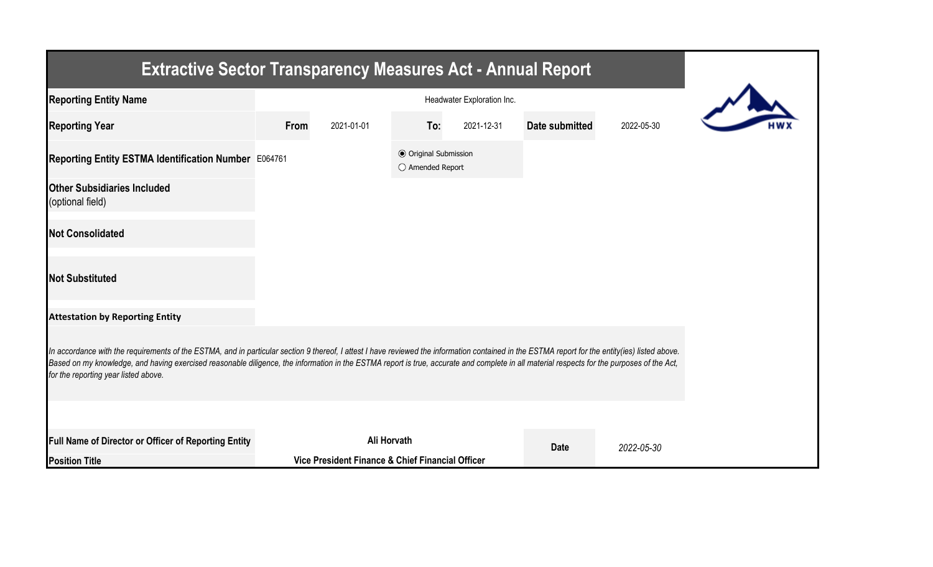| <b>Extractive Sector Transparency Measures Act - Annual Report</b>                                                                                                                                                                                                                                                                                                                                                                    |      |                                                  |                                                  |            |                |            |  |  |
|---------------------------------------------------------------------------------------------------------------------------------------------------------------------------------------------------------------------------------------------------------------------------------------------------------------------------------------------------------------------------------------------------------------------------------------|------|--------------------------------------------------|--------------------------------------------------|------------|----------------|------------|--|--|
| <b>Reporting Entity Name</b>                                                                                                                                                                                                                                                                                                                                                                                                          |      |                                                  |                                                  |            |                |            |  |  |
| <b>Reporting Year</b>                                                                                                                                                                                                                                                                                                                                                                                                                 | From | 2021-01-01                                       | To:                                              | 2021-12-31 | Date submitted | 2022-05-30 |  |  |
| Reporting Entity ESTMA Identification Number E064761                                                                                                                                                                                                                                                                                                                                                                                  |      |                                                  | <b>◎</b> Original Submission<br>○ Amended Report |            |                |            |  |  |
| <b>Other Subsidiaries Included</b><br>(optional field)                                                                                                                                                                                                                                                                                                                                                                                |      |                                                  |                                                  |            |                |            |  |  |
| <b>Not Consolidated</b>                                                                                                                                                                                                                                                                                                                                                                                                               |      |                                                  |                                                  |            |                |            |  |  |
| <b>Not Substituted</b>                                                                                                                                                                                                                                                                                                                                                                                                                |      |                                                  |                                                  |            |                |            |  |  |
| <b>Attestation by Reporting Entity</b>                                                                                                                                                                                                                                                                                                                                                                                                |      |                                                  |                                                  |            |                |            |  |  |
| In accordance with the requirements of the ESTMA, and in particular section 9 thereof, I attest I have reviewed the information contained in the ESTMA report for the entity(ies) listed above.<br>Based on my knowledge, and having exercised reasonable diligence, the information in the ESTMA report is true, accurate and complete in all material respects for the purposes of the Act,<br>for the reporting year listed above. |      |                                                  |                                                  |            |                |            |  |  |
|                                                                                                                                                                                                                                                                                                                                                                                                                                       |      |                                                  |                                                  |            |                |            |  |  |
| Full Name of Director or Officer of Reporting Entity                                                                                                                                                                                                                                                                                                                                                                                  |      | Ali Horvath                                      |                                                  |            | <b>Date</b>    | 2022-05-30 |  |  |
| <b>Position Title</b>                                                                                                                                                                                                                                                                                                                                                                                                                 |      | Vice President Finance & Chief Financial Officer |                                                  |            |                |            |  |  |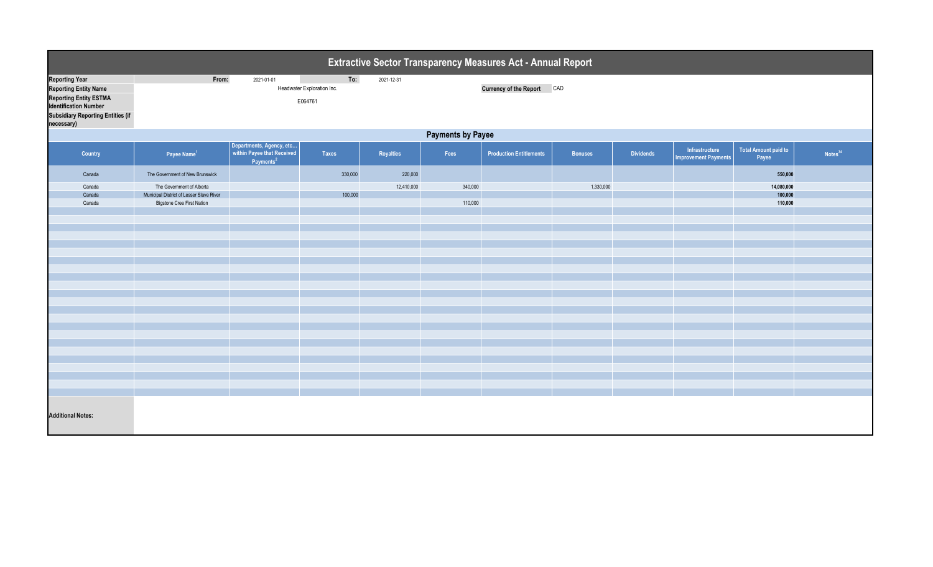| Extractive Sector Transparency Measures Act - Annual Report   |                                                                       |                                                                                 |                                   |            |         |                                |                |                  |                                               |                                      |                     |  |
|---------------------------------------------------------------|-----------------------------------------------------------------------|---------------------------------------------------------------------------------|-----------------------------------|------------|---------|--------------------------------|----------------|------------------|-----------------------------------------------|--------------------------------------|---------------------|--|
| <b>Reporting Year</b><br><b>Reporting Entity Name</b>         | From:                                                                 | 2021-01-01                                                                      | To:<br>Headwater Exploration Inc. | 2021-12-31 |         | Currency of the Report CAD     |                |                  |                                               |                                      |                     |  |
| <b>Reporting Entity ESTMA</b><br><b>Identification Number</b> | E064761                                                               |                                                                                 |                                   |            |         |                                |                |                  |                                               |                                      |                     |  |
| <b>Subsidiary Reporting Entities (if</b><br>necessary)        |                                                                       |                                                                                 |                                   |            |         |                                |                |                  |                                               |                                      |                     |  |
|                                                               | <b>Payments by Payee</b>                                              |                                                                                 |                                   |            |         |                                |                |                  |                                               |                                      |                     |  |
| Country                                                       | Payee Name <sup>1</sup>                                               | Departments, Agency, etc<br>within Payee that Received<br>Payments <sup>2</sup> | <b>Taxes</b>                      | Royalties  | Fees    | <b>Production Entitlements</b> | <b>Bonuses</b> | <b>Dividends</b> | Infrastructure<br><b>Improvement Payments</b> | <b>Total Amount paid to</b><br>Payee | Notes <sup>34</sup> |  |
| Canada                                                        | The Government of New Brunswick                                       |                                                                                 | 330,000                           | 220,000    |         |                                |                |                  |                                               | 550,000                              |                     |  |
| Canada                                                        | The Government of Alberta<br>Municipal District of Lesser Slave River |                                                                                 | 100,000                           | 12,410,000 | 340,000 |                                | 1,330,000      |                  |                                               | 14,080,000<br>100,000                |                     |  |
| Canada<br>Canada                                              | <b>Bigstone Cree First Nation</b>                                     |                                                                                 |                                   |            | 110,000 |                                |                |                  |                                               | 110,000                              |                     |  |
|                                                               |                                                                       |                                                                                 |                                   |            |         |                                |                |                  |                                               |                                      |                     |  |
|                                                               |                                                                       |                                                                                 |                                   |            |         |                                |                |                  |                                               |                                      |                     |  |
|                                                               |                                                                       |                                                                                 |                                   |            |         |                                |                |                  |                                               |                                      |                     |  |
|                                                               |                                                                       |                                                                                 |                                   |            |         |                                |                |                  |                                               |                                      |                     |  |
|                                                               |                                                                       |                                                                                 |                                   |            |         |                                |                |                  |                                               |                                      |                     |  |
|                                                               |                                                                       |                                                                                 |                                   |            |         |                                |                |                  |                                               |                                      |                     |  |
|                                                               |                                                                       |                                                                                 |                                   |            |         |                                |                |                  |                                               |                                      |                     |  |
|                                                               |                                                                       |                                                                                 |                                   |            |         |                                |                |                  |                                               |                                      |                     |  |
|                                                               |                                                                       |                                                                                 |                                   |            |         |                                |                |                  |                                               |                                      |                     |  |
|                                                               |                                                                       |                                                                                 |                                   |            |         |                                |                |                  |                                               |                                      |                     |  |
|                                                               |                                                                       |                                                                                 |                                   |            |         |                                |                |                  |                                               |                                      |                     |  |
|                                                               |                                                                       |                                                                                 |                                   |            |         |                                |                |                  |                                               |                                      |                     |  |
|                                                               |                                                                       |                                                                                 |                                   |            |         |                                |                |                  |                                               |                                      |                     |  |
|                                                               |                                                                       |                                                                                 |                                   |            |         |                                |                |                  |                                               |                                      |                     |  |
|                                                               |                                                                       |                                                                                 |                                   |            |         |                                |                |                  |                                               |                                      |                     |  |
|                                                               |                                                                       |                                                                                 |                                   |            |         |                                |                |                  |                                               |                                      |                     |  |
|                                                               |                                                                       |                                                                                 |                                   |            |         |                                |                |                  |                                               |                                      |                     |  |
|                                                               |                                                                       |                                                                                 |                                   |            |         |                                |                |                  |                                               |                                      |                     |  |
|                                                               |                                                                       |                                                                                 |                                   |            |         |                                |                |                  |                                               |                                      |                     |  |
| <b>Additional Notes:</b>                                      |                                                                       |                                                                                 |                                   |            |         |                                |                |                  |                                               |                                      |                     |  |